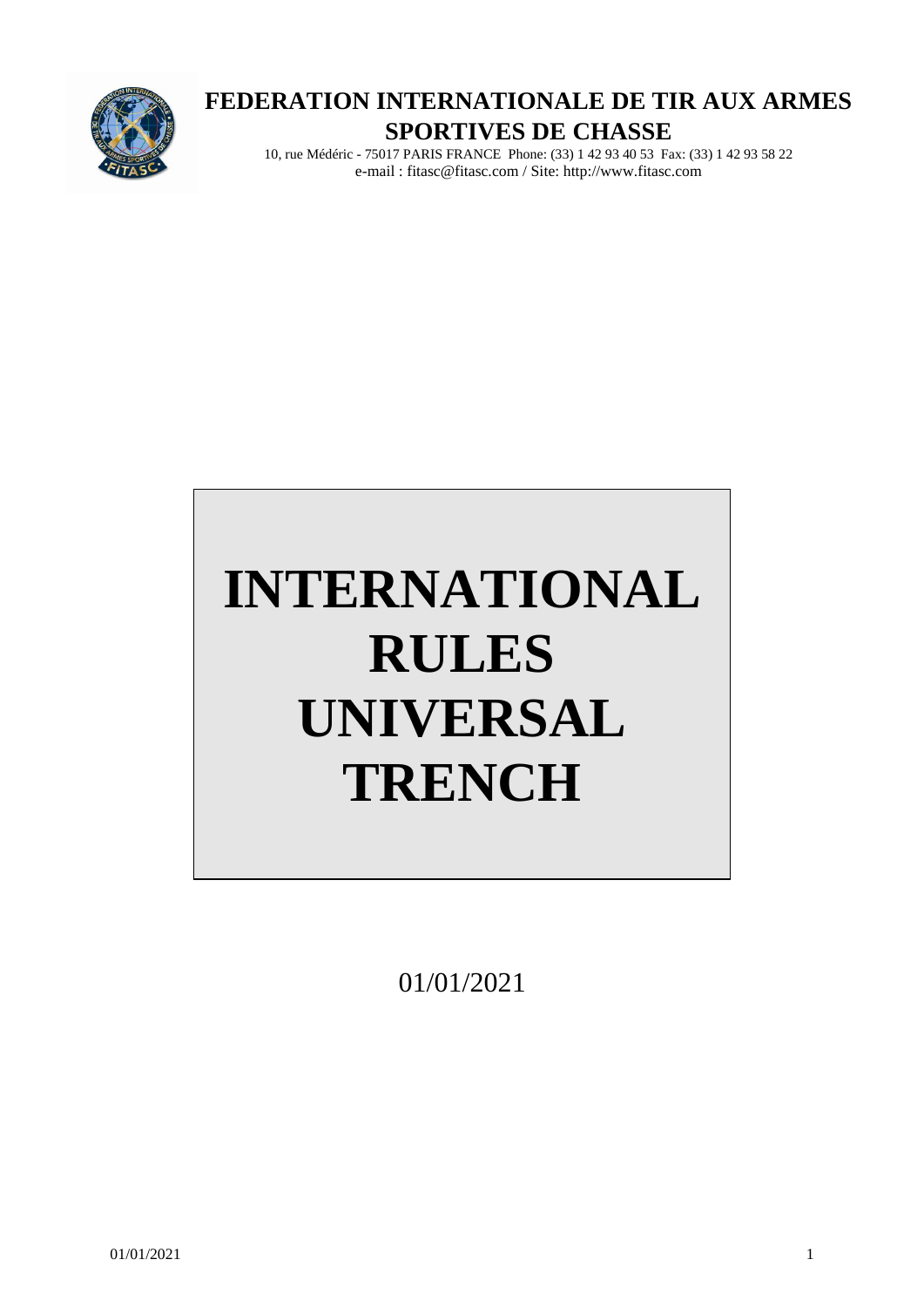

# **FEDERATION INTERNATIONALE DE TIR AUX ARMES SPORTIVES DE CHASSE**

10, rue Médéric - 75017 PARIS FRANCE Phone: (33) 1 42 93 40 53 Fax: (33) 1 42 93 58 22 e-mail : fitasc@fitasc.com / Site: http://www.fitasc.com

# **INTERNATIONAL RULES UNIVERSAL TRENCH**

01/01/2021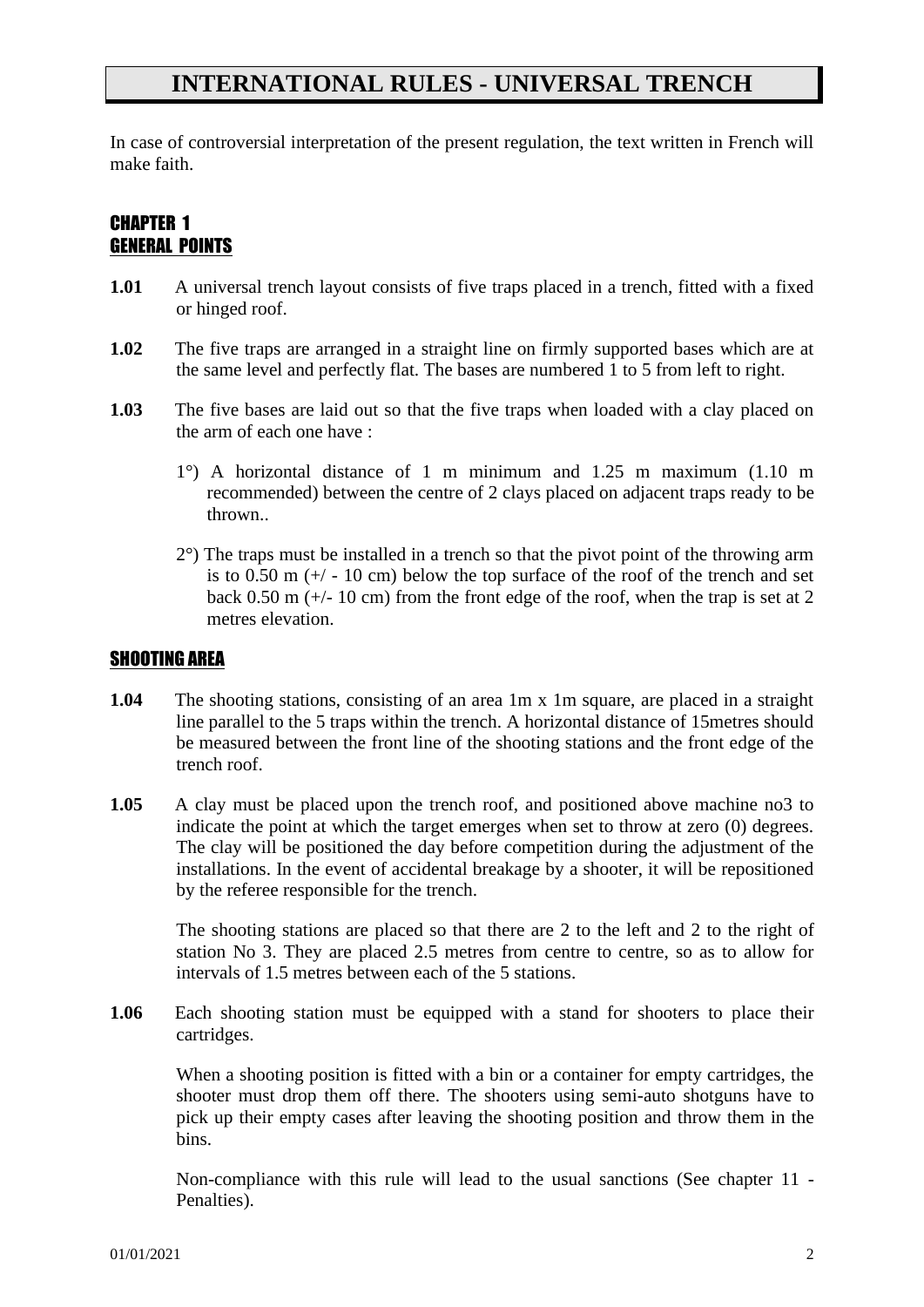## **INTERNATIONAL RULES - UNIVERSAL TRENCH**

In case of controversial interpretation of the present regulation, the text written in French will make faith.

#### CHAPTER 1 GENERAL POINTS

- **1.01** A universal trench layout consists of five traps placed in a trench, fitted with a fixed or hinged roof.
- **1.02** The five traps are arranged in a straight line on firmly supported bases which are at the same level and perfectly flat. The bases are numbered 1 to 5 from left to right.
- **1.03** The five bases are laid out so that the five traps when loaded with a clay placed on the arm of each one have :
	- 1°) A horizontal distance of 1 m minimum and 1.25 m maximum (1.10 m recommended) between the centre of 2 clays placed on adjacent traps ready to be thrown..
	- 2°) The traps must be installed in a trench so that the pivot point of the throwing arm is to 0.50 m  $(+)$  - 10 cm) below the top surface of the roof of the trench and set back 0.50 m  $(+)$ - 10 cm) from the front edge of the roof, when the trap is set at 2 metres elevation.

#### SHOOTING AREA

- **1.04** The shooting stations, consisting of an area 1m x 1m square, are placed in a straight line parallel to the 5 traps within the trench. A horizontal distance of 15metres should be measured between the front line of the shooting stations and the front edge of the trench roof.
- **1.05** A clay must be placed upon the trench roof, and positioned above machine no3 to indicate the point at which the target emerges when set to throw at zero (0) degrees. The clay will be positioned the day before competition during the adjustment of the installations. In the event of accidental breakage by a shooter, it will be repositioned by the referee responsible for the trench.

The shooting stations are placed so that there are 2 to the left and 2 to the right of station No 3. They are placed 2.5 metres from centre to centre, so as to allow for intervals of 1.5 metres between each of the 5 stations.

**1.06** Each shooting station must be equipped with a stand for shooters to place their cartridges.

When a shooting position is fitted with a bin or a container for empty cartridges, the shooter must drop them off there. The shooters using semi-auto shotguns have to pick up their empty cases after leaving the shooting position and throw them in the bins.

Non-compliance with this rule will lead to the usual sanctions (See chapter 11 - Penalties).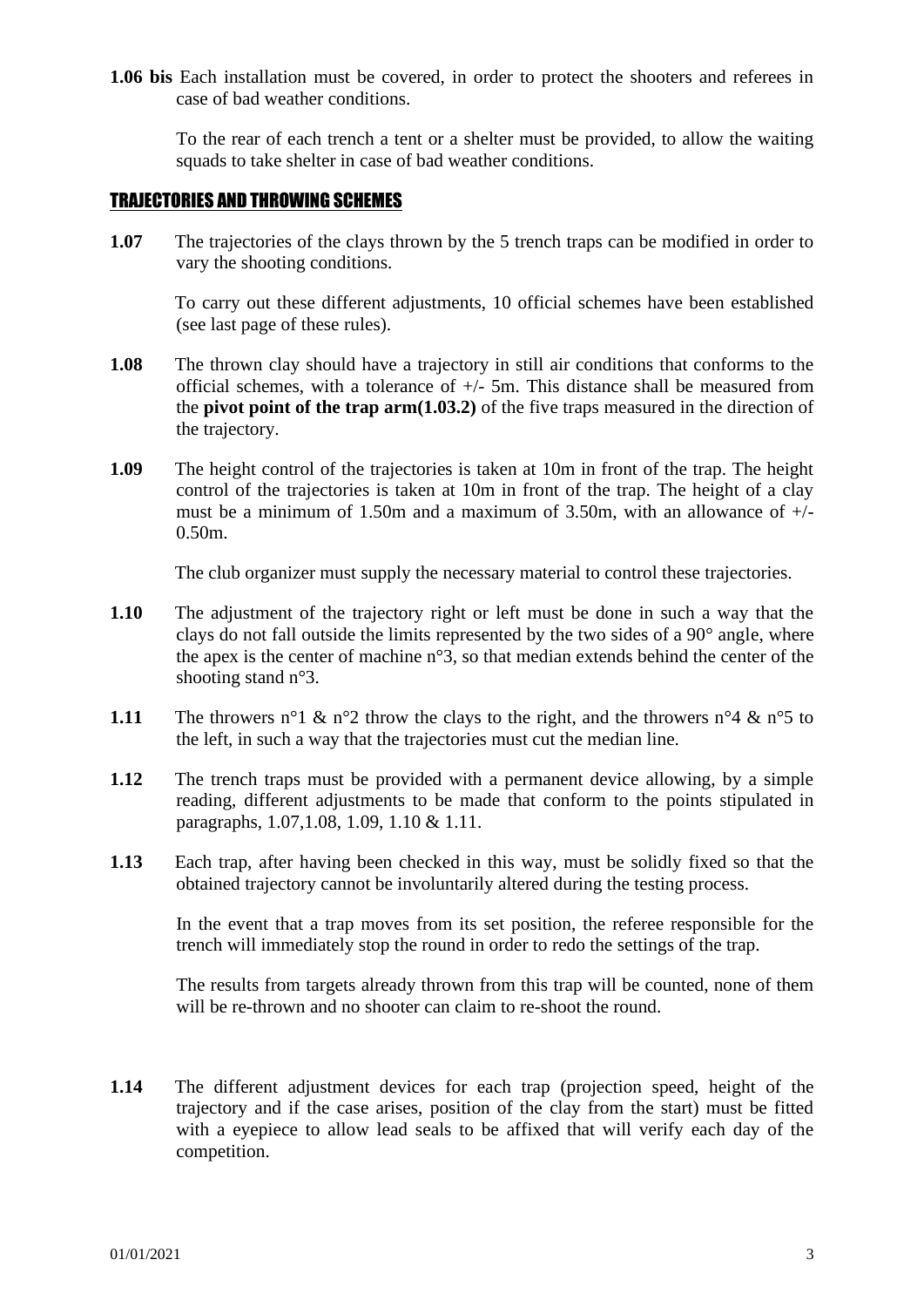**1.06 bis** Each installation must be covered, in order to protect the shooters and referees in case of bad weather conditions.

To the rear of each trench a tent or a shelter must be provided, to allow the waiting squads to take shelter in case of bad weather conditions.

#### TRAJECTORIES AND THROWING SCHEMES

**1.07** The trajectories of the clays thrown by the 5 trench traps can be modified in order to vary the shooting conditions.

To carry out these different adjustments, 10 official schemes have been established (see last page of these rules).

- **1.08** The thrown clay should have a trajectory in still air conditions that conforms to the official schemes, with a tolerance of  $+/-$  5m. This distance shall be measured from the **pivot point of the trap arm(1.03.2)** of the five traps measured in the direction of the trajectory.
- **1.09** The height control of the trajectories is taken at 10m in front of the trap. The height control of the trajectories is taken at 10m in front of the trap. The height of a clay must be a minimum of 1.50m and a maximum of 3.50m, with an allowance of  $+/-$ 0.50m.

The club organizer must supply the necessary material to control these trajectories.

- **1.10** The adjustment of the trajectory right or left must be done in such a way that the clays do not fall outside the limits represented by the two sides of a 90° angle, where the apex is the center of machine n°3, so that median extends behind the center of the shooting stand n°3.
- **1.11** The throwers n°1 & n°2 throw the clays to the right, and the throwers n°4 & n°5 to the left, in such a way that the trajectories must cut the median line.
- **1.12** The trench traps must be provided with a permanent device allowing, by a simple reading, different adjustments to be made that conform to the points stipulated in paragraphs, 1.07,1.08, 1.09, 1.10 & 1.11.
- **1.13** Each trap, after having been checked in this way, must be solidly fixed so that the obtained trajectory cannot be involuntarily altered during the testing process.

In the event that a trap moves from its set position, the referee responsible for the trench will immediately stop the round in order to redo the settings of the trap.

The results from targets already thrown from this trap will be counted, none of them will be re-thrown and no shooter can claim to re-shoot the round.

**1.14** The different adjustment devices for each trap (projection speed, height of the trajectory and if the case arises, position of the clay from the start) must be fitted with a eyepiece to allow lead seals to be affixed that will verify each day of the competition.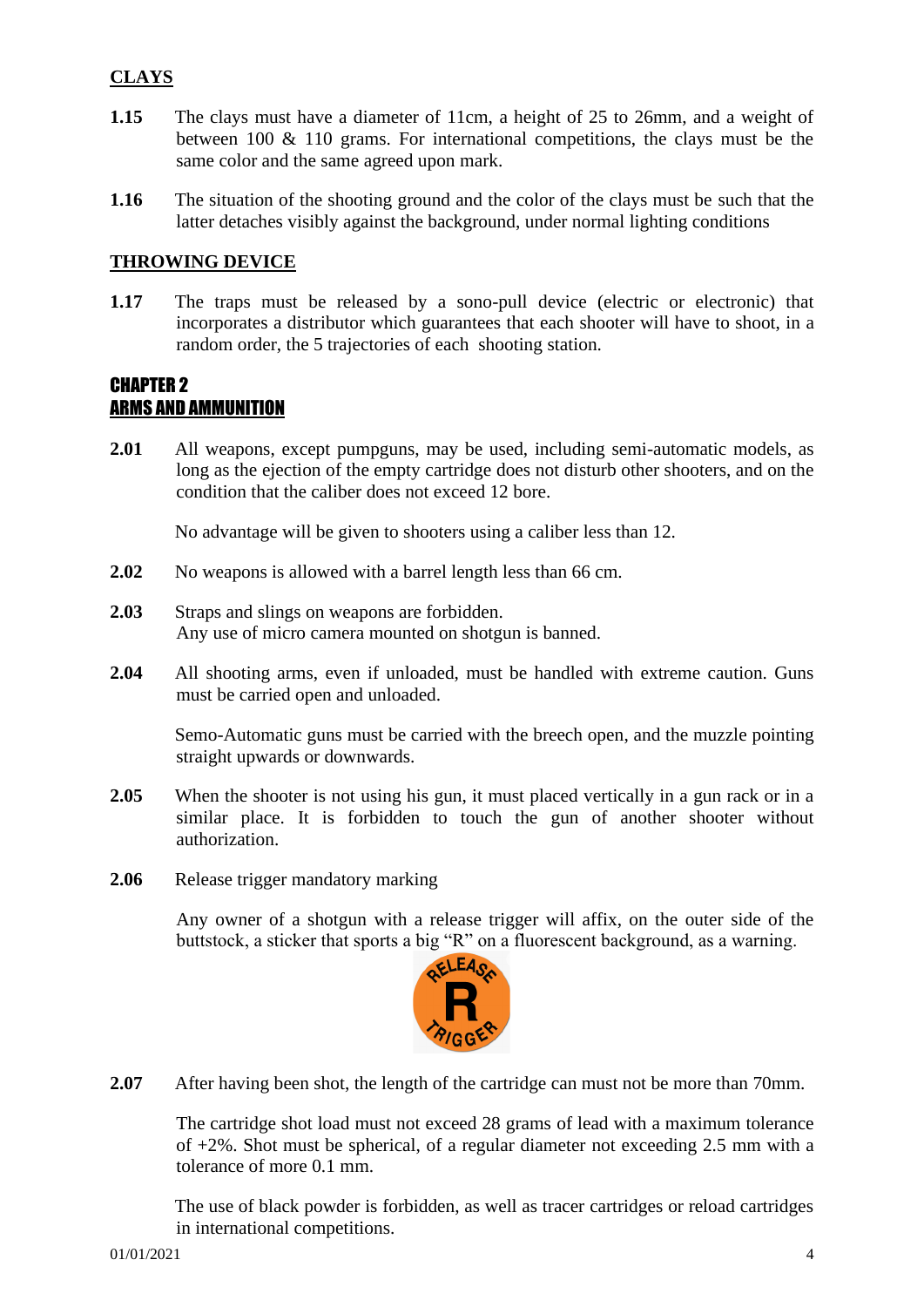#### **CLAYS**

- **1.15** The clays must have a diameter of 11cm, a height of 25 to 26mm, and a weight of between 100 & 110 grams. For international competitions, the clays must be the same color and the same agreed upon mark.
- **1.16** The situation of the shooting ground and the color of the clays must be such that the latter detaches visibly against the background, under normal lighting conditions

#### **THROWING DEVICE**

**1.17** The traps must be released by a sono-pull device (electric or electronic) that incorporates a distributor which guarantees that each shooter will have to shoot, in a random order, the 5 trajectories of each shooting station.

#### CHAPTER 2 ARMS AND AMMUNITION

**2.01** All weapons, except pumpguns, may be used, including semi-automatic models, as long as the ejection of the empty cartridge does not disturb other shooters, and on the condition that the caliber does not exceed 12 bore.

No advantage will be given to shooters using a caliber less than 12.

- **2.02** No weapons is allowed with a barrel length less than 66 cm.
- **2.03** Straps and slings on weapons are forbidden. Any use of micro camera mounted on shotgun is banned.
- **2.04** All shooting arms, even if unloaded, must be handled with extreme caution. Guns must be carried open and unloaded.

Semo-Automatic guns must be carried with the breech open, and the muzzle pointing straight upwards or downwards.

- **2.05** When the shooter is not using his gun, it must placed vertically in a gun rack or in a similar place. It is forbidden to touch the gun of another shooter without authorization.
- **2.06** Release trigger mandatory marking

Any owner of a shotgun with a release trigger will affix, on the outer side of the buttstock, a sticker that sports a big "R" on a fluorescent background, as a warning.



**2.07** After having been shot, the length of the cartridge can must not be more than 70mm.

The cartridge shot load must not exceed 28 grams of lead with a maximum tolerance of +2%. Shot must be spherical, of a regular diameter not exceeding 2.5 mm with a tolerance of more 0.1 mm.

The use of black powder is forbidden, as well as tracer cartridges or reload cartridges in international competitions.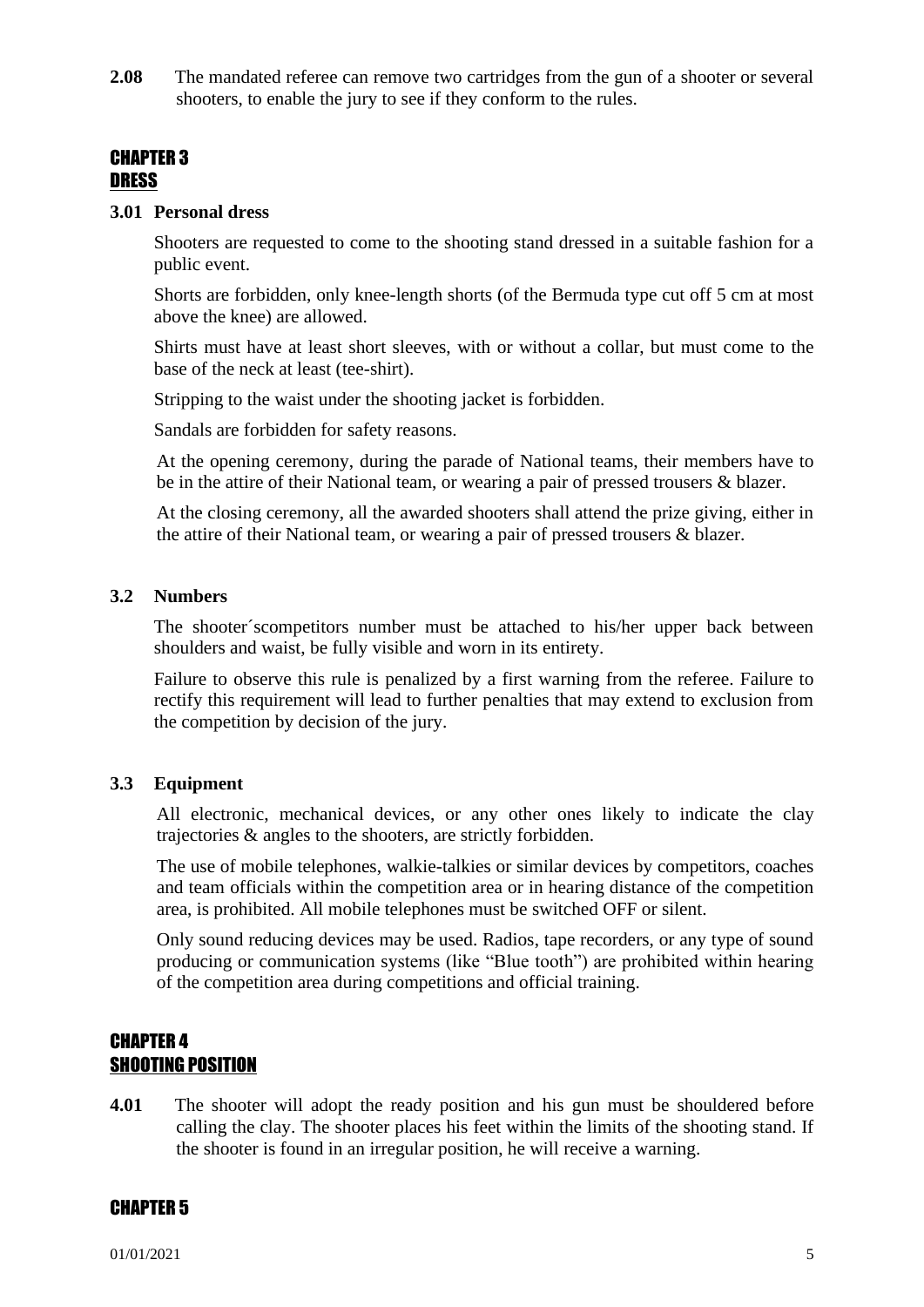**2.08** The mandated referee can remove two cartridges from the gun of a shooter or several shooters, to enable the jury to see if they conform to the rules.

#### CHAPTER 3 **DRESS**

#### **3.01 Personal dress**

Shooters are requested to come to the shooting stand dressed in a suitable fashion for a public event.

Shorts are forbidden, only knee-length shorts (of the Bermuda type cut off 5 cm at most above the knee) are allowed.

Shirts must have at least short sleeves, with or without a collar, but must come to the base of the neck at least (tee-shirt).

Stripping to the waist under the shooting jacket is forbidden.

Sandals are forbidden for safety reasons.

At the opening ceremony, during the parade of National teams, their members have to be in the attire of their National team, or wearing a pair of pressed trousers & blazer.

At the closing ceremony, all the awarded shooters shall attend the prize giving, either in the attire of their National team, or wearing a pair of pressed trousers & blazer.

#### **3.2 Numbers**

The shooter´scompetitors number must be attached to his/her upper back between shoulders and waist, be fully visible and worn in its entirety.

Failure to observe this rule is penalized by a first warning from the referee. Failure to rectify this requirement will lead to further penalties that may extend to exclusion from the competition by decision of the jury.

#### **3.3 Equipment**

All electronic, mechanical devices, or any other ones likely to indicate the clay trajectories & angles to the shooters, are strictly forbidden.

The use of mobile telephones, walkie-talkies or similar devices by competitors, coaches and team officials within the competition area or in hearing distance of the competition area, is prohibited. All mobile telephones must be switched OFF or silent.

Only sound reducing devices may be used. Radios, tape recorders, or any type of sound producing or communication systems (like "Blue tooth") are prohibited within hearing of the competition area during competitions and official training.

#### CHAPTER 4 SHOOTING POSITION

**4.01** The shooter will adopt the ready position and his gun must be shouldered before calling the clay. The shooter places his feet within the limits of the shooting stand. If the shooter is found in an irregular position, he will receive a warning.

#### CHAPTER 5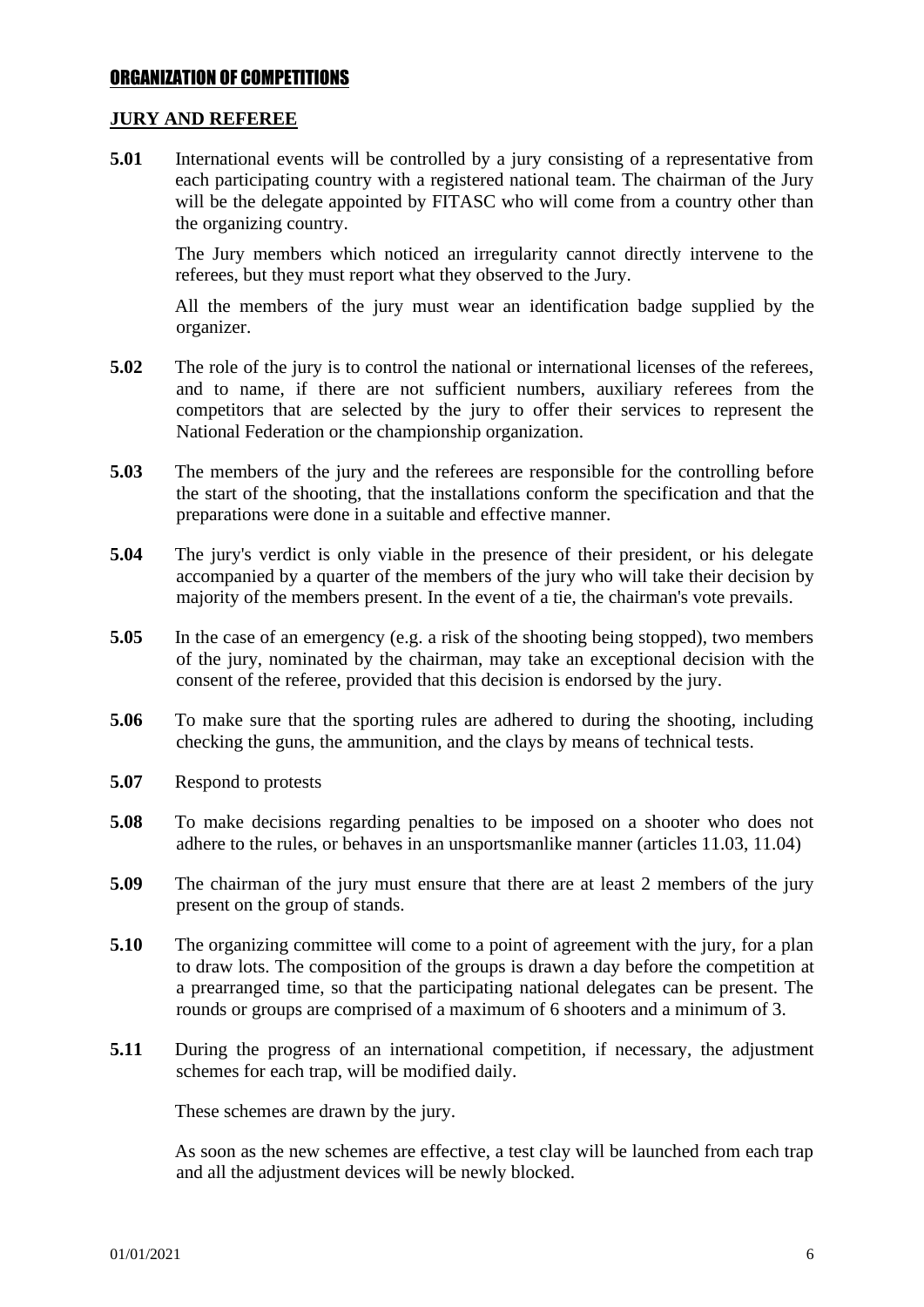#### ORGANIZATION OF COMPETITIONS

#### **JURY AND REFEREE**

**5.01** International events will be controlled by a jury consisting of a representative from each participating country with a registered national team. The chairman of the Jury will be the delegate appointed by FITASC who will come from a country other than the organizing country.

The Jury members which noticed an irregularity cannot directly intervene to the referees, but they must report what they observed to the Jury.

All the members of the jury must wear an identification badge supplied by the organizer.

- **5.02** The role of the jury is to control the national or international licenses of the referees, and to name, if there are not sufficient numbers, auxiliary referees from the competitors that are selected by the jury to offer their services to represent the National Federation or the championship organization.
- **5.03** The members of the jury and the referees are responsible for the controlling before the start of the shooting, that the installations conform the specification and that the preparations were done in a suitable and effective manner.
- **5.04** The jury's verdict is only viable in the presence of their president, or his delegate accompanied by a quarter of the members of the jury who will take their decision by majority of the members present. In the event of a tie, the chairman's vote prevails.
- **5.05** In the case of an emergency (e.g. a risk of the shooting being stopped), two members of the jury, nominated by the chairman, may take an exceptional decision with the consent of the referee, provided that this decision is endorsed by the jury.
- **5.06** To make sure that the sporting rules are adhered to during the shooting, including checking the guns, the ammunition, and the clays by means of technical tests.
- **5.07** Respond to protests
- **5.08** To make decisions regarding penalties to be imposed on a shooter who does not adhere to the rules, or behaves in an unsportsmanlike manner (articles 11.03, 11.04)
- **5.09** The chairman of the jury must ensure that there are at least 2 members of the jury present on the group of stands.
- **5.10** The organizing committee will come to a point of agreement with the jury, for a plan to draw lots. The composition of the groups is drawn a day before the competition at a prearranged time, so that the participating national delegates can be present. The rounds or groups are comprised of a maximum of 6 shooters and a minimum of 3.
- **5.11** During the progress of an international competition, if necessary, the adjustment schemes for each trap, will be modified daily.

These schemes are drawn by the jury.

As soon as the new schemes are effective, a test clay will be launched from each trap and all the adjustment devices will be newly blocked.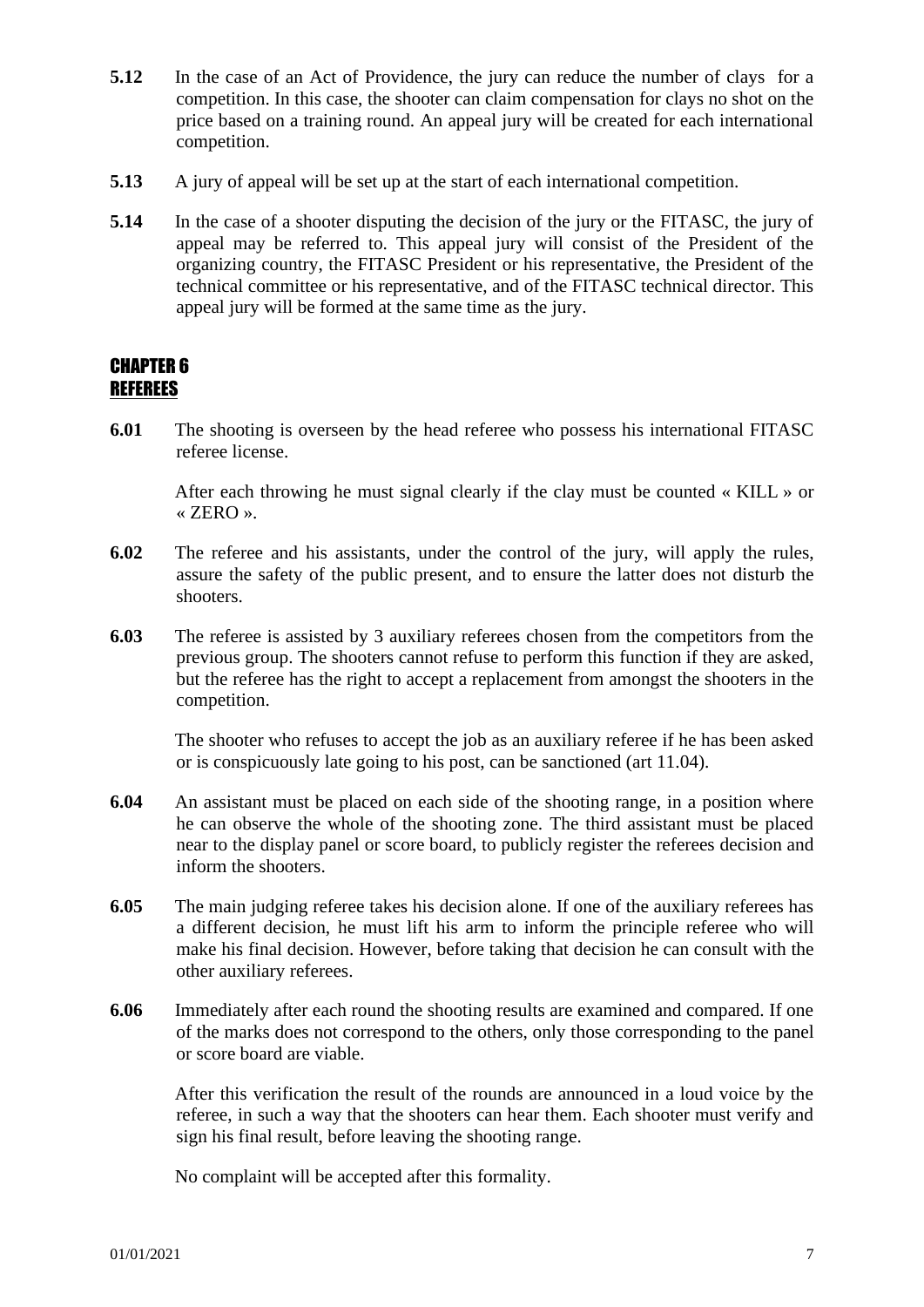- **5.12** In the case of an Act of Providence, the jury can reduce the number of clays for a competition. In this case, the shooter can claim compensation for clays no shot on the price based on a training round. An appeal jury will be created for each international competition.
- **5.13** A jury of appeal will be set up at the start of each international competition.
- **5.14** In the case of a shooter disputing the decision of the jury or the FITASC, the jury of appeal may be referred to. This appeal jury will consist of the President of the organizing country, the FITASC President or his representative, the President of the technical committee or his representative, and of the FITASC technical director. This appeal jury will be formed at the same time as the jury.

#### CHAPTER 6 REFEREES

**6.01** The shooting is overseen by the head referee who possess his international FITASC referee license.

After each throwing he must signal clearly if the clay must be counted « KILL » or « ZERO ».

- **6.02** The referee and his assistants, under the control of the jury, will apply the rules, assure the safety of the public present, and to ensure the latter does not disturb the shooters.
- **6.03** The referee is assisted by 3 auxiliary referees chosen from the competitors from the previous group. The shooters cannot refuse to perform this function if they are asked, but the referee has the right to accept a replacement from amongst the shooters in the competition.

The shooter who refuses to accept the job as an auxiliary referee if he has been asked or is conspicuously late going to his post, can be sanctioned (art 11.04).

- **6.04** An assistant must be placed on each side of the shooting range, in a position where he can observe the whole of the shooting zone. The third assistant must be placed near to the display panel or score board, to publicly register the referees decision and inform the shooters.
- **6.05** The main judging referee takes his decision alone. If one of the auxiliary referees has a different decision, he must lift his arm to inform the principle referee who will make his final decision. However, before taking that decision he can consult with the other auxiliary referees.
- **6.06** Immediately after each round the shooting results are examined and compared. If one of the marks does not correspond to the others, only those corresponding to the panel or score board are viable.

After this verification the result of the rounds are announced in a loud voice by the referee, in such a way that the shooters can hear them. Each shooter must verify and sign his final result, before leaving the shooting range.

No complaint will be accepted after this formality.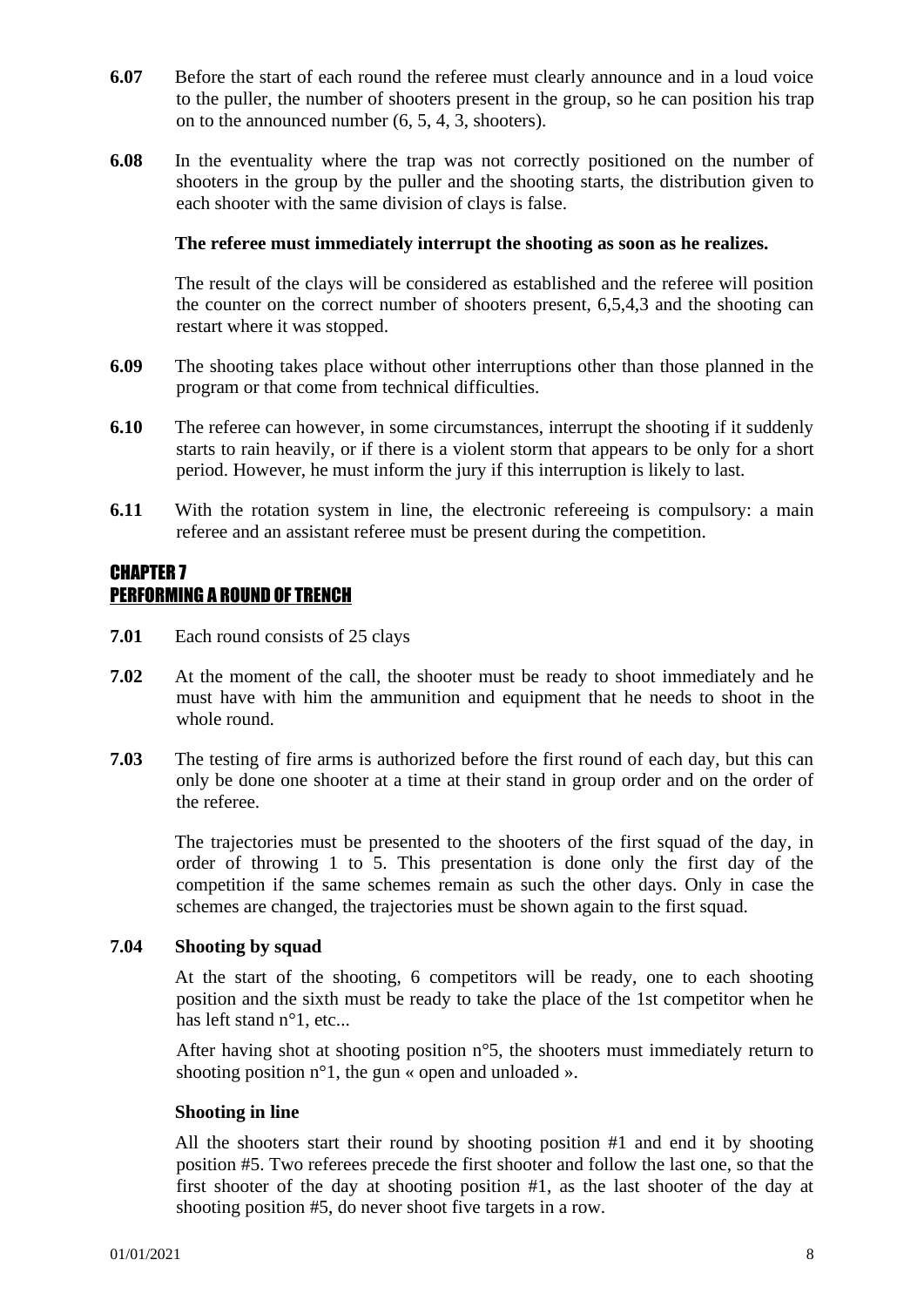- **6.07** Before the start of each round the referee must clearly announce and in a loud voice to the puller, the number of shooters present in the group, so he can position his trap on to the announced number (6, 5, 4, 3, shooters).
- **6.08** In the eventuality where the trap was not correctly positioned on the number of shooters in the group by the puller and the shooting starts, the distribution given to each shooter with the same division of clays is false.

#### **The referee must immediately interrupt the shooting as soon as he realizes.**

The result of the clays will be considered as established and the referee will position the counter on the correct number of shooters present, 6,5,4,3 and the shooting can restart where it was stopped.

- **6.09** The shooting takes place without other interruptions other than those planned in the program or that come from technical difficulties.
- **6.10** The referee can however, in some circumstances, interrupt the shooting if it suddenly starts to rain heavily, or if there is a violent storm that appears to be only for a short period. However, he must inform the jury if this interruption is likely to last.
- **6.11** With the rotation system in line, the electronic refereeing is compulsory: a main referee and an assistant referee must be present during the competition.

#### CHAPTER 7 PERFORMING A ROUND OF TRENCH

- **7.01** Each round consists of 25 clays
- **7.02** At the moment of the call, the shooter must be ready to shoot immediately and he must have with him the ammunition and equipment that he needs to shoot in the whole round.
- **7.03** The testing of fire arms is authorized before the first round of each day, but this can only be done one shooter at a time at their stand in group order and on the order of the referee.

The trajectories must be presented to the shooters of the first squad of the day, in order of throwing 1 to 5. This presentation is done only the first day of the competition if the same schemes remain as such the other days. Only in case the schemes are changed, the trajectories must be shown again to the first squad.

#### **7.04 Shooting by squad**

At the start of the shooting, 6 competitors will be ready, one to each shooting position and the sixth must be ready to take the place of the 1st competitor when he has left stand n°1, etc...

After having shot at shooting position n°5, the shooters must immediately return to shooting position  $n^{\circ}1$ , the gun « open and unloaded ».

#### **Shooting in line**

All the shooters start their round by shooting position #1 and end it by shooting position #5. Two referees precede the first shooter and follow the last one, so that the first shooter of the day at shooting position #1, as the last shooter of the day at shooting position #5, do never shoot five targets in a row.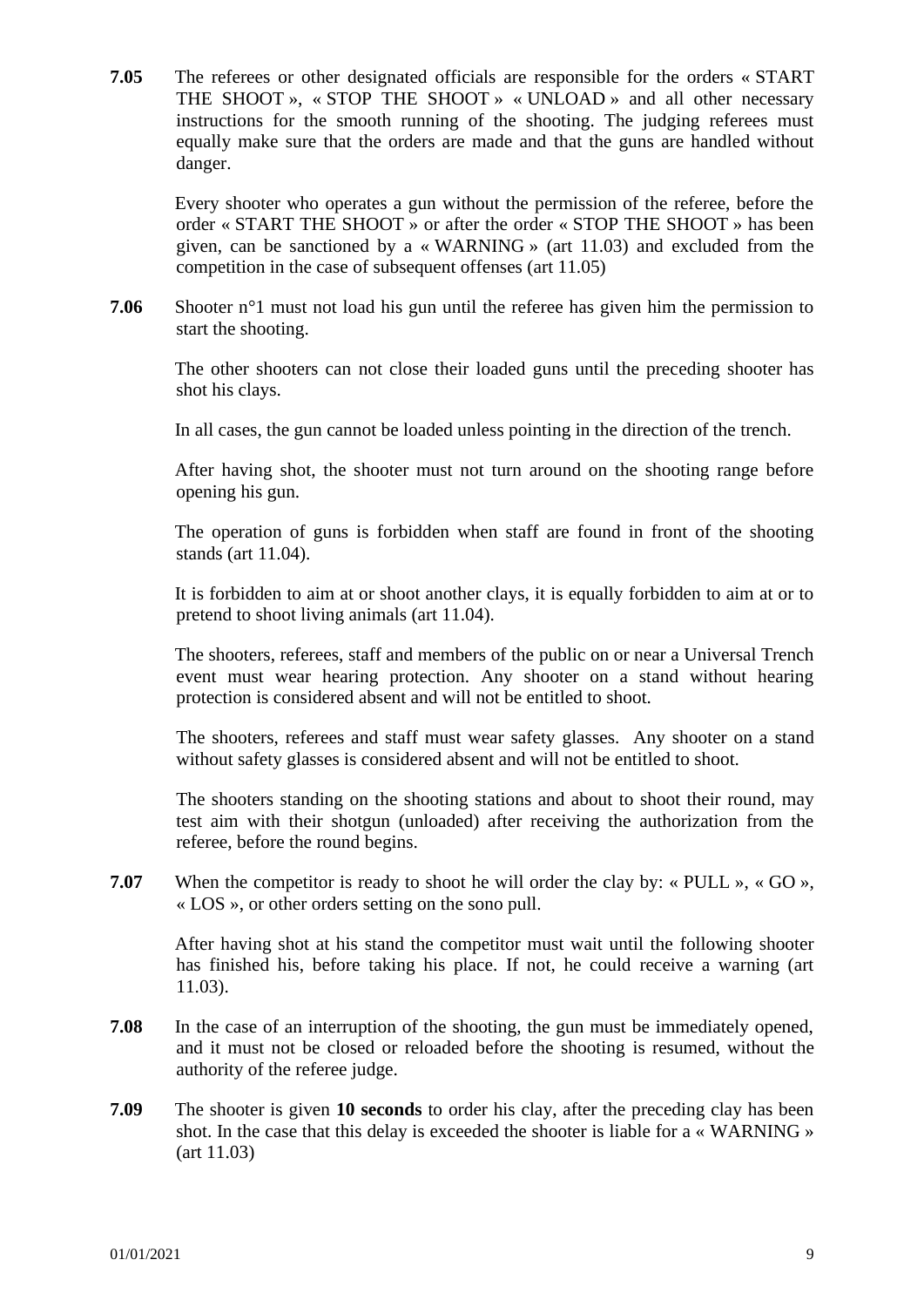**7.05** The referees or other designated officials are responsible for the orders « START THE SHOOT », « STOP THE SHOOT » « UNLOAD » and all other necessary instructions for the smooth running of the shooting. The judging referees must equally make sure that the orders are made and that the guns are handled without danger.

Every shooter who operates a gun without the permission of the referee, before the order « START THE SHOOT » or after the order « STOP THE SHOOT » has been given, can be sanctioned by a « WARNING » (art 11.03) and excluded from the competition in the case of subsequent offenses (art 11.05)

**7.06** Shooter n°1 must not load his gun until the referee has given him the permission to start the shooting.

The other shooters can not close their loaded guns until the preceding shooter has shot his clays.

In all cases, the gun cannot be loaded unless pointing in the direction of the trench.

After having shot, the shooter must not turn around on the shooting range before opening his gun.

The operation of guns is forbidden when staff are found in front of the shooting stands (art 11.04).

It is forbidden to aim at or shoot another clays, it is equally forbidden to aim at or to pretend to shoot living animals (art 11.04).

The shooters, referees, staff and members of the public on or near a Universal Trench event must wear hearing protection. Any shooter on a stand without hearing protection is considered absent and will not be entitled to shoot.

The shooters, referees and staff must wear safety glasses. Any shooter on a stand without safety glasses is considered absent and will not be entitled to shoot.

The shooters standing on the shooting stations and about to shoot their round, may test aim with their shotgun (unloaded) after receiving the authorization from the referee, before the round begins.

**7.07** When the competitor is ready to shoot he will order the clay by: « PULL », « GO », « LOS », or other orders setting on the sono pull.

After having shot at his stand the competitor must wait until the following shooter has finished his, before taking his place. If not, he could receive a warning (art 11.03).

- **7.08** In the case of an interruption of the shooting, the gun must be immediately opened, and it must not be closed or reloaded before the shooting is resumed, without the authority of the referee judge.
- **7.09** The shooter is given **10 seconds** to order his clay, after the preceding clay has been shot. In the case that this delay is exceeded the shooter is liable for a « WARNING » (art 11.03)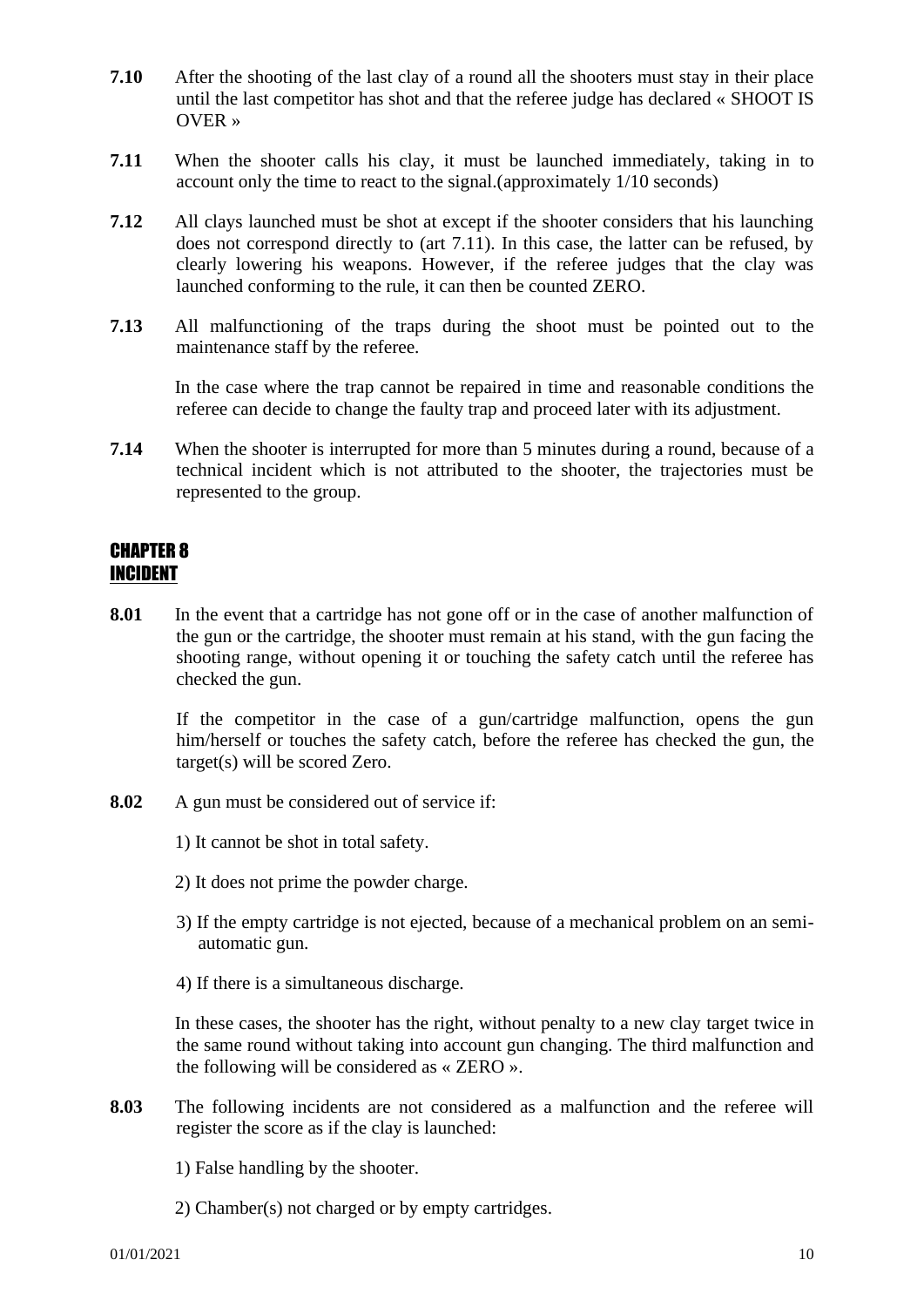- **7.10** After the shooting of the last clay of a round all the shooters must stay in their place until the last competitor has shot and that the referee judge has declared « SHOOT IS OVER »
- **7.11** When the shooter calls his clay, it must be launched immediately, taking in to account only the time to react to the signal.(approximately 1/10 seconds)
- **7.12** All clays launched must be shot at except if the shooter considers that his launching does not correspond directly to (art 7.11). In this case, the latter can be refused, by clearly lowering his weapons. However, if the referee judges that the clay was launched conforming to the rule, it can then be counted ZERO.
- **7.13** All malfunctioning of the traps during the shoot must be pointed out to the maintenance staff by the referee.

In the case where the trap cannot be repaired in time and reasonable conditions the referee can decide to change the faulty trap and proceed later with its adjustment.

**7.14** When the shooter is interrupted for more than 5 minutes during a round, because of a technical incident which is not attributed to the shooter, the trajectories must be represented to the group.

#### CHAPTER 8 INCIDENT

**8.01** In the event that a cartridge has not gone off or in the case of another malfunction of the gun or the cartridge, the shooter must remain at his stand, with the gun facing the shooting range, without opening it or touching the safety catch until the referee has checked the gun.

If the competitor in the case of a gun/cartridge malfunction, opens the gun him/herself or touches the safety catch, before the referee has checked the gun, the target(s) will be scored Zero.

- **8.02** A gun must be considered out of service if:
	- 1) It cannot be shot in total safety.
	- 2) It does not prime the powder charge.
	- 3) If the empty cartridge is not ejected, because of a mechanical problem on an semiautomatic gun.
	- 4) If there is a simultaneous discharge.

In these cases, the shooter has the right, without penalty to a new clay target twice in the same round without taking into account gun changing. The third malfunction and the following will be considered as « ZERO ».

- **8.03** The following incidents are not considered as a malfunction and the referee will register the score as if the clay is launched:
	- 1) False handling by the shooter.
	- 2) Chamber(s) not charged or by empty cartridges.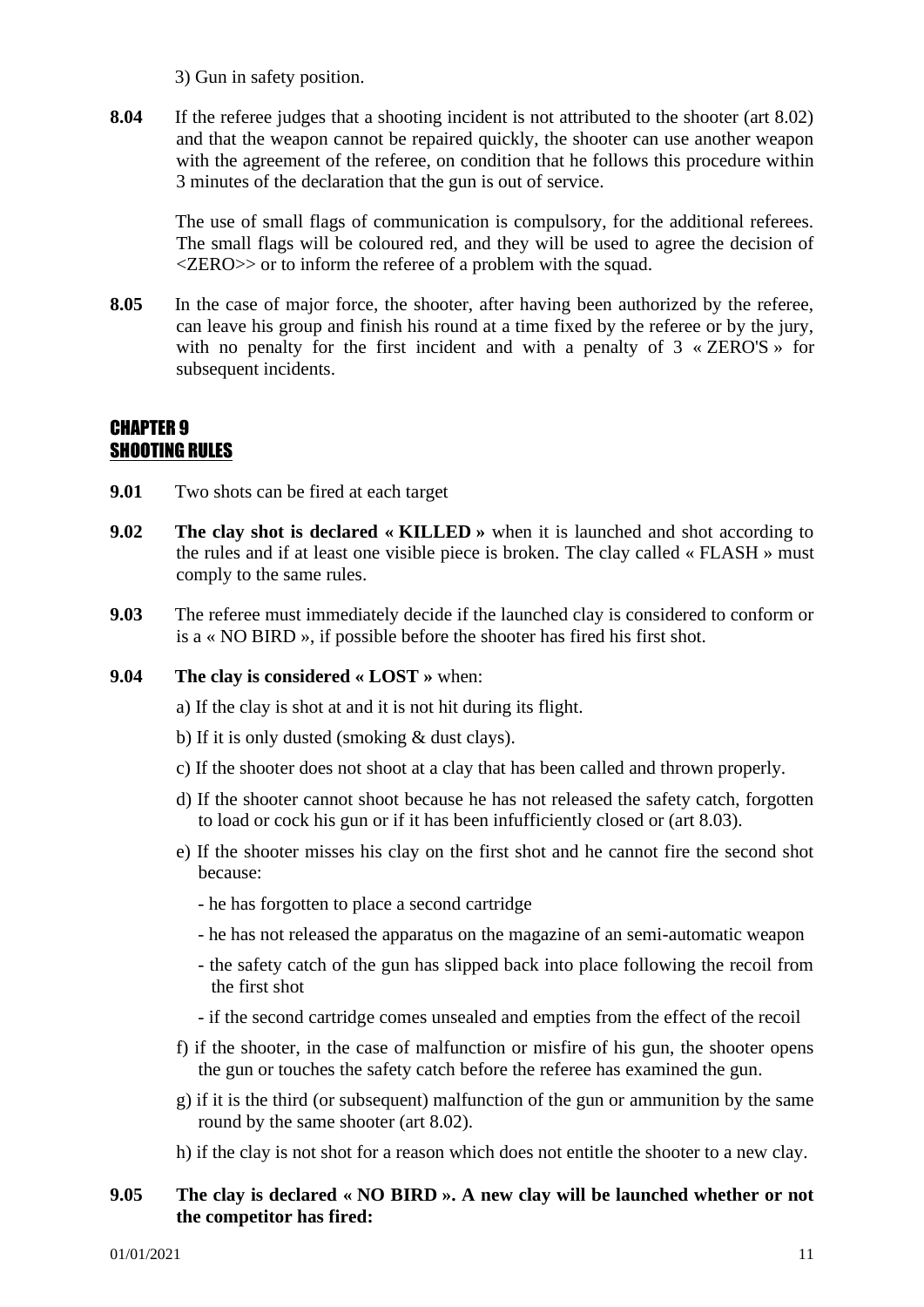3) Gun in safety position.

**8.04** If the referee judges that a shooting incident is not attributed to the shooter (art 8.02) and that the weapon cannot be repaired quickly, the shooter can use another weapon with the agreement of the referee, on condition that he follows this procedure within 3 minutes of the declaration that the gun is out of service.

The use of small flags of communication is compulsory, for the additional referees. The small flags will be coloured red, and they will be used to agree the decision of <ZERO>> or to inform the referee of a problem with the squad.

**8.05** In the case of major force, the shooter, after having been authorized by the referee, can leave his group and finish his round at a time fixed by the referee or by the jury, with no penalty for the first incident and with a penalty of  $3 \times ZERO'S \times$  for subsequent incidents.

#### CHAPTER 9 SHOOTING RULES

- **9.01** Two shots can be fired at each target
- **9.02 The clay shot is declared « KILLED »** when it is launched and shot according to the rules and if at least one visible piece is broken. The clay called « FLASH » must comply to the same rules.
- **9.03** The referee must immediately decide if the launched clay is considered to conform or is a « NO BIRD », if possible before the shooter has fired his first shot.
- **9.04 The clay is considered « LOST »** when:
	- a) If the clay is shot at and it is not hit during its flight.
	- b) If it is only dusted (smoking & dust clays).
	- c) If the shooter does not shoot at a clay that has been called and thrown properly.
	- d) If the shooter cannot shoot because he has not released the safety catch, forgotten to load or cock his gun or if it has been infufficiently closed or (art 8.03).
	- e) If the shooter misses his clay on the first shot and he cannot fire the second shot because:
		- he has forgotten to place a second cartridge
		- he has not released the apparatus on the magazine of an semi-automatic weapon
		- the safety catch of the gun has slipped back into place following the recoil from the first shot
		- if the second cartridge comes unsealed and empties from the effect of the recoil
	- f) if the shooter, in the case of malfunction or misfire of his gun, the shooter opens the gun or touches the safety catch before the referee has examined the gun.
	- g) if it is the third (or subsequent) malfunction of the gun or ammunition by the same round by the same shooter (art 8.02).
	- h) if the clay is not shot for a reason which does not entitle the shooter to a new clay.

#### **9.05 The clay is declared « NO BIRD ». A new clay will be launched whether or not the competitor has fired:**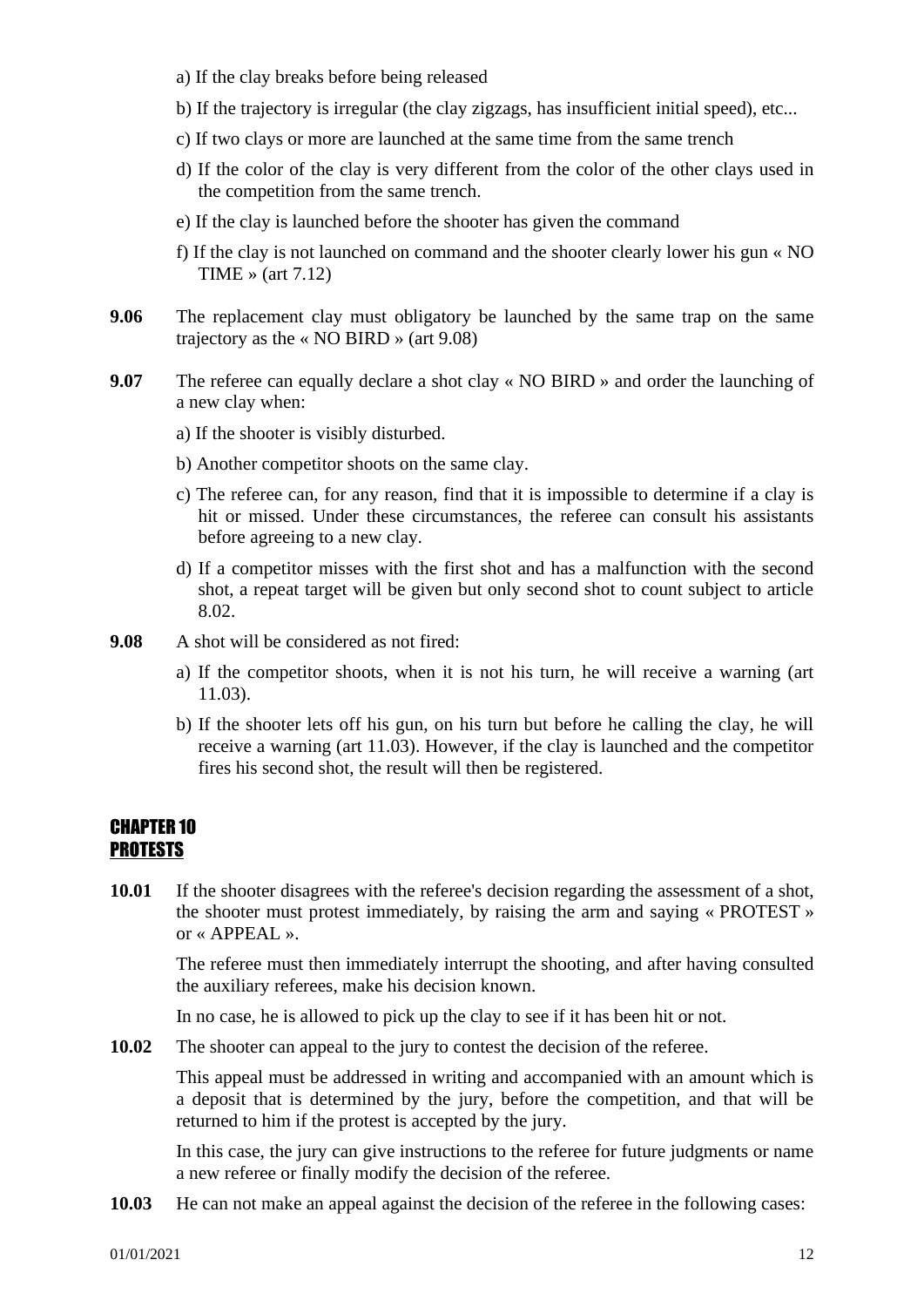- a) If the clay breaks before being released
- b) If the trajectory is irregular (the clay zigzags, has insufficient initial speed), etc...
- c) If two clays or more are launched at the same time from the same trench
- d) If the color of the clay is very different from the color of the other clays used in the competition from the same trench.
- e) If the clay is launched before the shooter has given the command
- f) If the clay is not launched on command and the shooter clearly lower his gun « NO TIME » (art 7.12)
- **9.06** The replacement clay must obligatory be launched by the same trap on the same trajectory as the « NO BIRD » (art 9.08)
- **9.07** The referee can equally declare a shot clay « NO BIRD » and order the launching of a new clay when:
	- a) If the shooter is visibly disturbed.
	- b) Another competitor shoots on the same clay.
	- c) The referee can, for any reason, find that it is impossible to determine if a clay is hit or missed. Under these circumstances, the referee can consult his assistants before agreeing to a new clay.
	- d) If a competitor misses with the first shot and has a malfunction with the second shot, a repeat target will be given but only second shot to count subject to article 8.02.
- **9.08** A shot will be considered as not fired:
	- a) If the competitor shoots, when it is not his turn, he will receive a warning (art 11.03).
	- b) If the shooter lets off his gun, on his turn but before he calling the clay, he will receive a warning (art 11.03). However, if the clay is launched and the competitor fires his second shot, the result will then be registered.

#### CHAPTER 10 PROTESTS

**10.01** If the shooter disagrees with the referee's decision regarding the assessment of a shot, the shooter must protest immediately, by raising the arm and saying « PROTEST » or «  $APPEAL$  ».

The referee must then immediately interrupt the shooting, and after having consulted the auxiliary referees, make his decision known.

In no case, he is allowed to pick up the clay to see if it has been hit or not.

**10.02** The shooter can appeal to the jury to contest the decision of the referee.

This appeal must be addressed in writing and accompanied with an amount which is a deposit that is determined by the jury, before the competition, and that will be returned to him if the protest is accepted by the jury.

In this case, the jury can give instructions to the referee for future judgments or name a new referee or finally modify the decision of the referee.

**10.03** He can not make an appeal against the decision of the referee in the following cases: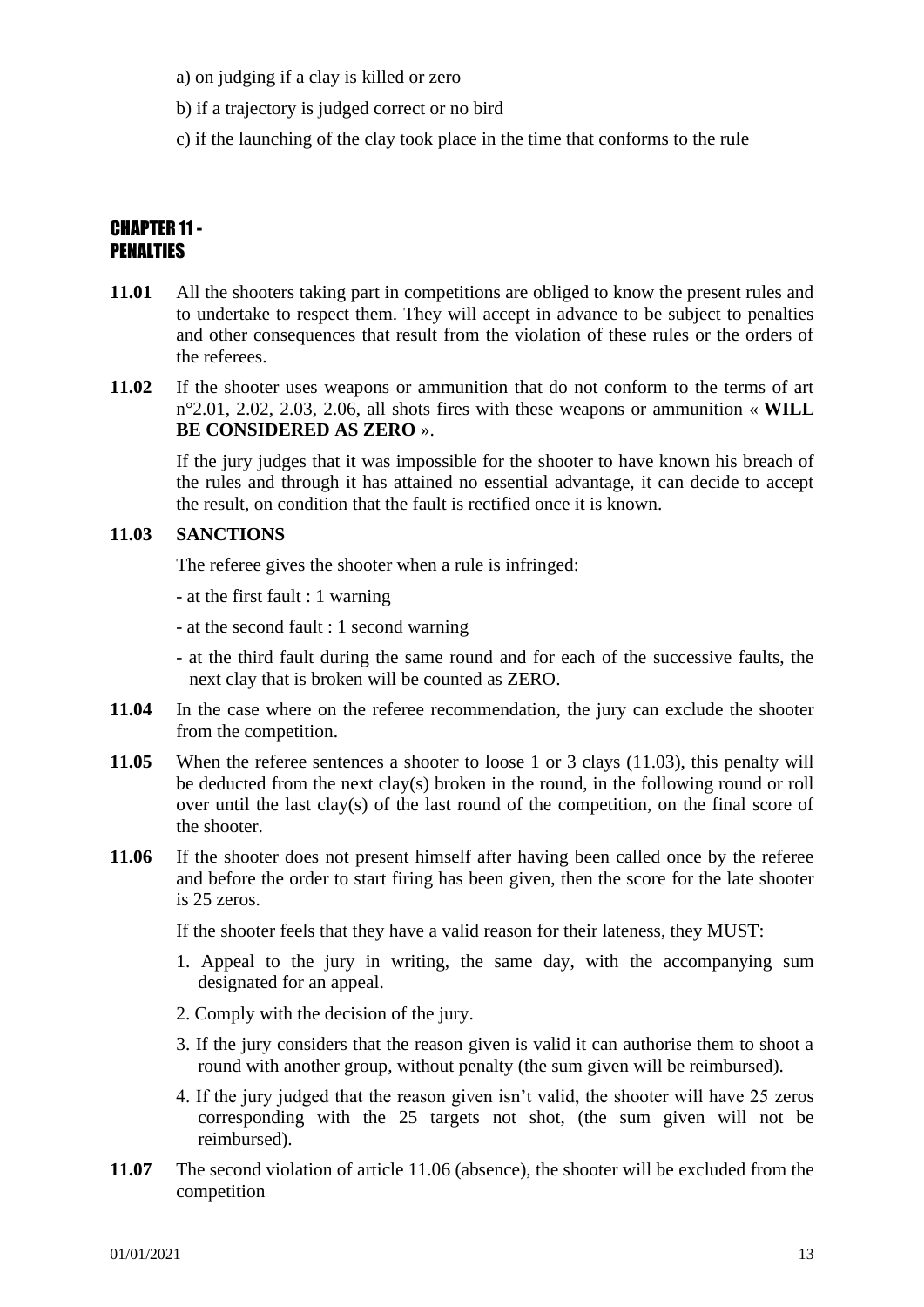- a) on judging if a clay is killed or zero
- b) if a trajectory is judged correct or no bird
- c) if the launching of the clay took place in the time that conforms to the rule

#### CHAPTER 11- PENALTIES

- **11.01** All the shooters taking part in competitions are obliged to know the present rules and to undertake to respect them. They will accept in advance to be subject to penalties and other consequences that result from the violation of these rules or the orders of the referees.
- **11.02** If the shooter uses weapons or ammunition that do not conform to the terms of art n°2.01, 2.02, 2.03, 2.06, all shots fires with these weapons or ammunition « **WILL BE CONSIDERED AS ZERO** ».

If the jury judges that it was impossible for the shooter to have known his breach of the rules and through it has attained no essential advantage, it can decide to accept the result, on condition that the fault is rectified once it is known.

#### **11.03 SANCTIONS**

The referee gives the shooter when a rule is infringed:

- at the first fault : 1 warning

- at the second fault : 1 second warning

- at the third fault during the same round and for each of the successive faults, the next clay that is broken will be counted as ZERO.
- **11.04** In the case where on the referee recommendation, the jury can exclude the shooter from the competition.
- **11.05** When the referee sentences a shooter to loose 1 or 3 clays (11.03), this penalty will be deducted from the next clay(s) broken in the round, in the following round or roll over until the last clay(s) of the last round of the competition, on the final score of the shooter.
- **11.06** If the shooter does not present himself after having been called once by the referee and before the order to start firing has been given, then the score for the late shooter is 25 zeros.

If the shooter feels that they have a valid reason for their lateness, they MUST:

- 1. Appeal to the jury in writing, the same day, with the accompanying sum designated for an appeal.
- 2. Comply with the decision of the jury.
- 3. If the jury considers that the reason given is valid it can authorise them to shoot a round with another group, without penalty (the sum given will be reimbursed).
- 4. If the jury judged that the reason given isn't valid, the shooter will have 25 zeros corresponding with the 25 targets not shot, (the sum given will not be reimbursed).
- **11.07** The second violation of article 11.06 (absence), the shooter will be excluded from the competition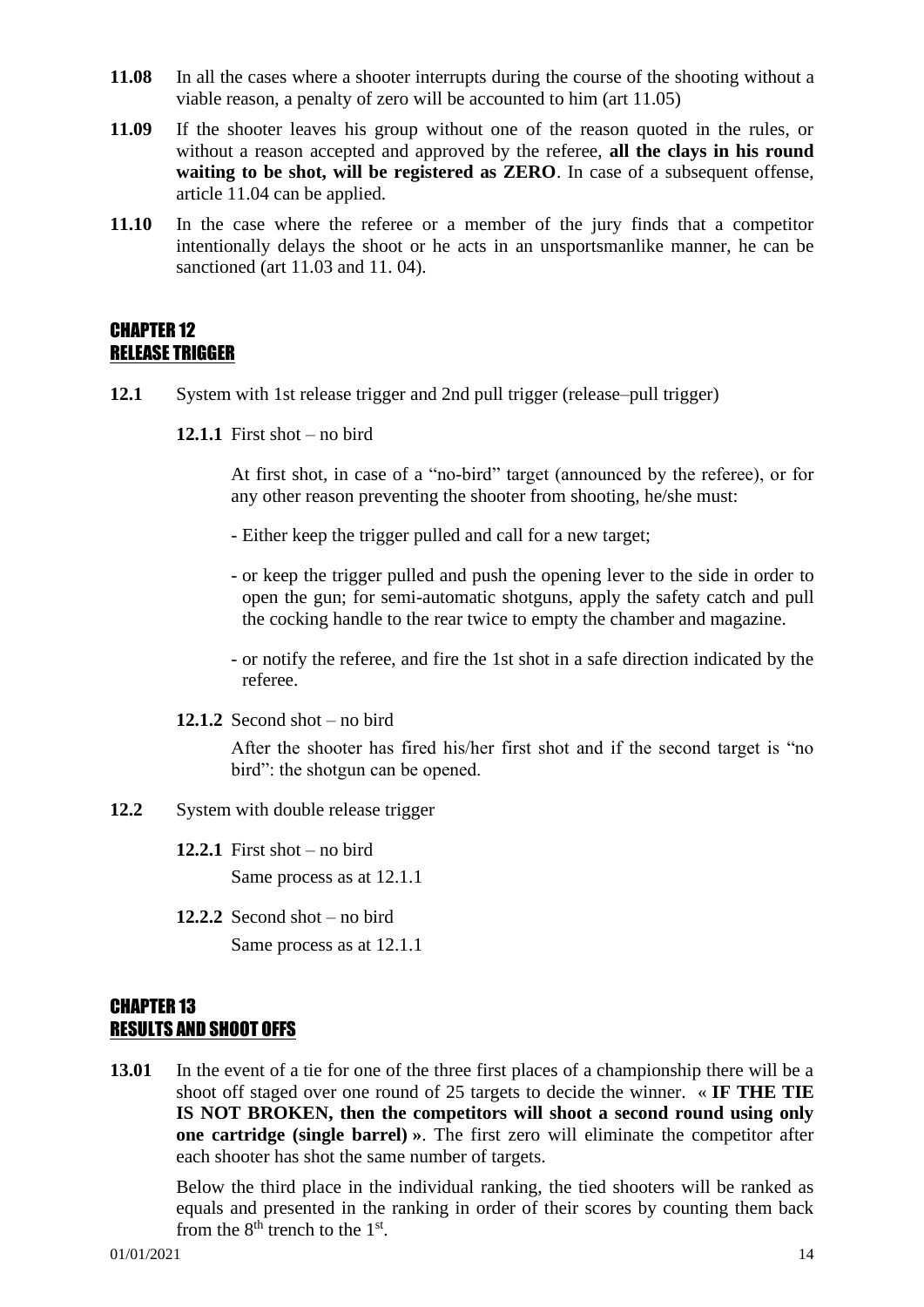- **11.08** In all the cases where a shooter interrupts during the course of the shooting without a viable reason, a penalty of zero will be accounted to him (art 11.05)
- **11.09** If the shooter leaves his group without one of the reason quoted in the rules, or without a reason accepted and approved by the referee, **all the clays in his round waiting to be shot, will be registered as ZERO**. In case of a subsequent offense, article 11.04 can be applied.
- **11.10** In the case where the referee or a member of the jury finds that a competitor intentionally delays the shoot or he acts in an unsportsmanlike manner, he can be sanctioned (art 11.03 and 11. 04).

#### CHAPTER 12 RELEASE TRIGGER

- **12.1** System with 1st release trigger and 2nd pull trigger (release–pull trigger)
	- **12.1.1** First shot no bird

At first shot, in case of a "no-bird" target (announced by the referee), or for any other reason preventing the shooter from shooting, he/she must:

- Either keep the trigger pulled and call for a new target;
- or keep the trigger pulled and push the opening lever to the side in order to open the gun; for semi-automatic shotguns, apply the safety catch and pull the cocking handle to the rear twice to empty the chamber and magazine.
- or notify the referee, and fire the 1st shot in a safe direction indicated by the referee.
- **12.1.2** Second shot no bird

After the shooter has fired his/her first shot and if the second target is "no bird": the shotgun can be opened.

- **12.2** System with double release trigger
	- **12.2.1** First shot no bird Same process as at 12.1.1
	- **12.2.2** Second shot no bird

Same process as at 12.1.1

#### CHAPTER 13 RESULTS AND SHOOT OFFS

**13.01** In the event of a tie for one of the three first places of a championship there will be a shoot off staged over one round of 25 targets to decide the winner. « **IF THE TIE IS NOT BROKEN, then the competitors will shoot a second round using only one cartridge (single barrel) »**. The first zero will eliminate the competitor after each shooter has shot the same number of targets.

Below the third place in the individual ranking, the tied shooters will be ranked as equals and presented in the ranking in order of their scores by counting them back from the  $8<sup>th</sup>$  trench to the  $1<sup>st</sup>$ .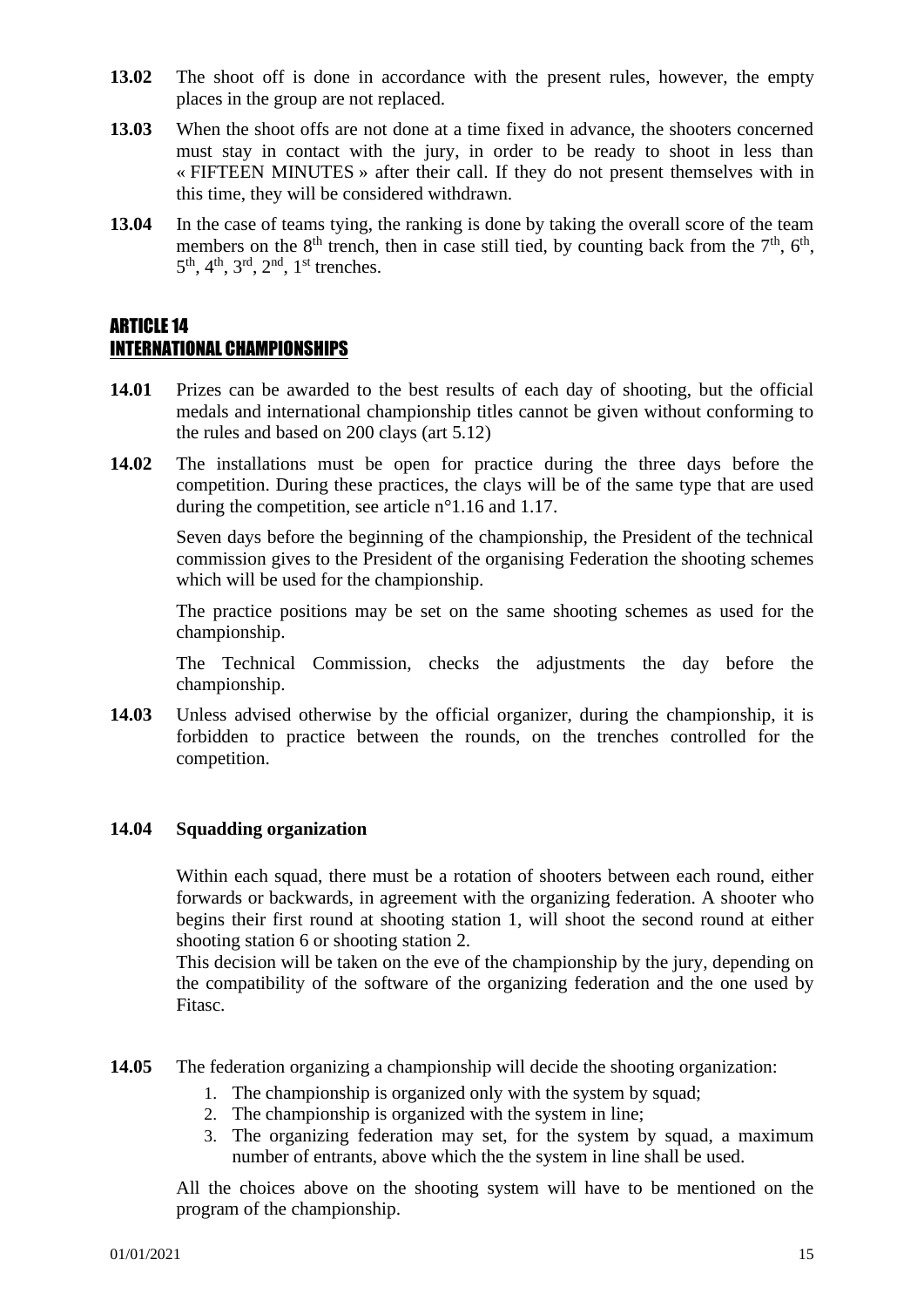- **13.02** The shoot off is done in accordance with the present rules, however, the empty places in the group are not replaced.
- **13.03** When the shoot offs are not done at a time fixed in advance, the shooters concerned must stay in contact with the jury, in order to be ready to shoot in less than « FIFTEEN MINUTES » after their call. If they do not present themselves with in this time, they will be considered withdrawn.
- **13.04** In the case of teams tying, the ranking is done by taking the overall score of the team members on the  $8<sup>th</sup>$  trench, then in case still tied, by counting back from the  $7<sup>th</sup>$ ,  $6<sup>th</sup>$ ,  $5<sup>th</sup>$ ,  $4<sup>th</sup>$ ,  $3<sup>rd</sup>$ ,  $2<sup>nd</sup>$ ,  $1<sup>st</sup>$  trenches.

#### ARTICLE 14 INTERNATIONAL CHAMPIONSHIPS

- **14.01** Prizes can be awarded to the best results of each day of shooting, but the official medals and international championship titles cannot be given without conforming to the rules and based on 200 clays (art 5.12)
- **14.02** The installations must be open for practice during the three days before the competition. During these practices, the clays will be of the same type that are used during the competition, see article n°1.16 and 1.17.

Seven days before the beginning of the championship, the President of the technical commission gives to the President of the organising Federation the shooting schemes which will be used for the championship.

The practice positions may be set on the same shooting schemes as used for the championship.

The Technical Commission, checks the adjustments the day before the championship.

**14.03** Unless advised otherwise by the official organizer, during the championship, it is forbidden to practice between the rounds, on the trenches controlled for the competition.

#### **14.04 Squadding organization**

Within each squad, there must be a rotation of shooters between each round, either forwards or backwards, in agreement with the organizing federation. A shooter who begins their first round at shooting station 1, will shoot the second round at either shooting station 6 or shooting station 2.

This decision will be taken on the eve of the championship by the jury, depending on the compatibility of the software of the organizing federation and the one used by Fitasc.

**14.05** The federation organizing a championship will decide the shooting organization:

- 1. The championship is organized only with the system by squad;
- 2. The championship is organized with the system in line;
- 3. The organizing federation may set, for the system by squad, a maximum number of entrants, above which the the system in line shall be used.

All the choices above on the shooting system will have to be mentioned on the program of the championship.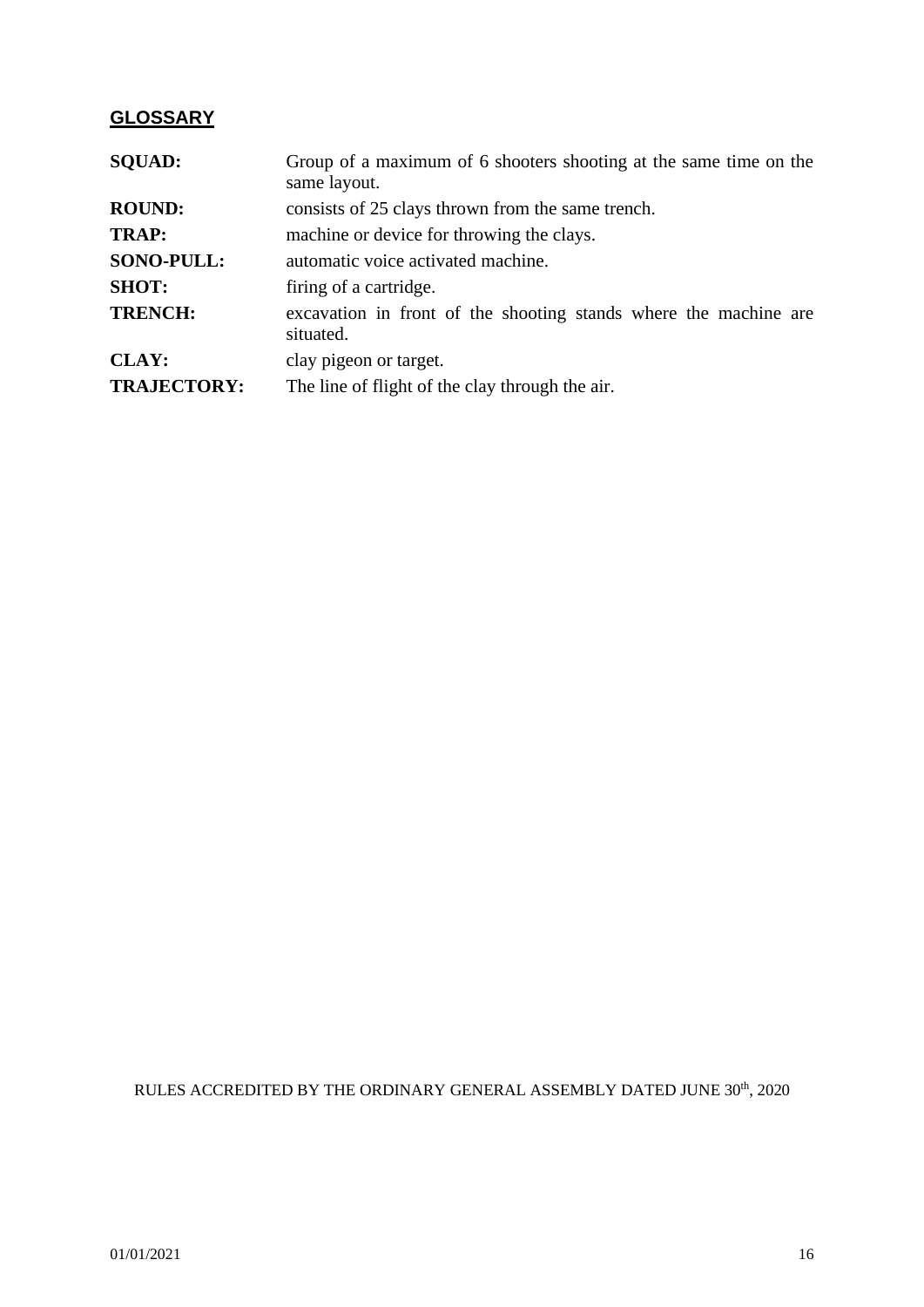### **GLOSSARY**

| <b>SQUAD:</b>      | Group of a maximum of 6 shooters shooting at the same time on the<br>same layout. |  |  |  |  |  |  |  |  |
|--------------------|-----------------------------------------------------------------------------------|--|--|--|--|--|--|--|--|
| <b>ROUND:</b>      | consists of 25 clays thrown from the same trench.                                 |  |  |  |  |  |  |  |  |
| <b>TRAP:</b>       | machine or device for throwing the clays.                                         |  |  |  |  |  |  |  |  |
| <b>SONO-PULL:</b>  | automatic voice activated machine.                                                |  |  |  |  |  |  |  |  |
| <b>SHOT:</b>       | firing of a cartridge.                                                            |  |  |  |  |  |  |  |  |
| <b>TRENCH:</b>     | excavation in front of the shooting stands where the machine are<br>situated.     |  |  |  |  |  |  |  |  |
| <b>CLAY:</b>       | clay pigeon or target.                                                            |  |  |  |  |  |  |  |  |
| <b>TRAJECTORY:</b> | The line of flight of the clay through the air.                                   |  |  |  |  |  |  |  |  |

RULES ACCREDITED BY THE ORDINARY GENERAL ASSEMBLY DATED JUNE  $30^{\rm th},\,2020$